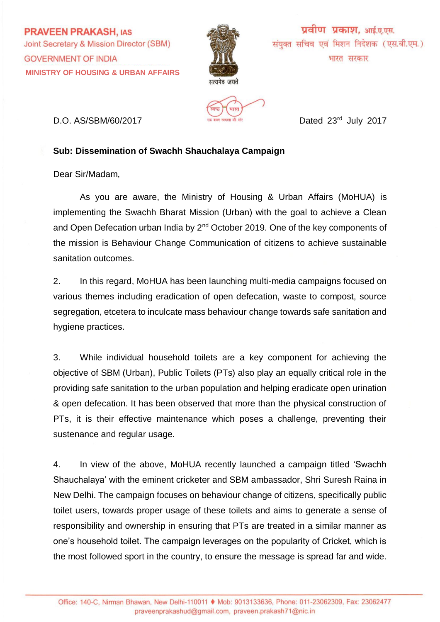**PRAVEEN PRAKASH, IAS** Joint Secretary & Mission Director (SBM) **GOVERNMENT OF INDIA MINISTRY OF HOUSING & URBAN AFFAIRS**



वीण प्रकाश. आई.ए.एस. संयुक्त सचिव एवं मिशन निदेशक (एस.बी.एम.) भारत सरकार



D.O. AS/SBM/60/2017 **D.O.** Dated 23<sup>rd</sup> July 2017

## **Sub: Dissemination of Swachh Shauchalaya Campaign**

Dear Sir/Madam,

As you are aware, the Ministry of Housing & Urban Affairs (MoHUA) is implementing the Swachh Bharat Mission (Urban) with the goal to achieve a Clean and Open Defecation urban India by 2<sup>nd</sup> October 2019. One of the key components of the mission is Behaviour Change Communication of citizens to achieve sustainable sanitation outcomes.

2. In this regard, MoHUA has been launching multi-media campaigns focused on various themes including eradication of open defecation, waste to compost, source segregation, etcetera to inculcate mass behaviour change towards safe sanitation and hygiene practices.

3. While individual household toilets are a key component for achieving the objective of SBM (Urban), Public Toilets (PTs) also play an equally critical role in the providing safe sanitation to the urban population and helping eradicate open urination & open defecation. It has been observed that more than the physical construction of PTs, it is their effective maintenance which poses a challenge, preventing their sustenance and regular usage.

4. In view of the above, MoHUA recently launched a campaign titled 'Swachh Shauchalaya' with the eminent cricketer and SBM ambassador, Shri Suresh Raina in New Delhi. The campaign focuses on behaviour change of citizens, specifically public toilet users, towards proper usage of these toilets and aims to generate a sense of responsibility and ownership in ensuring that PTs are treated in a similar manner as one's household toilet. The campaign leverages on the popularity of Cricket, which is the most followed sport in the country, to ensure the message is spread far and wide.